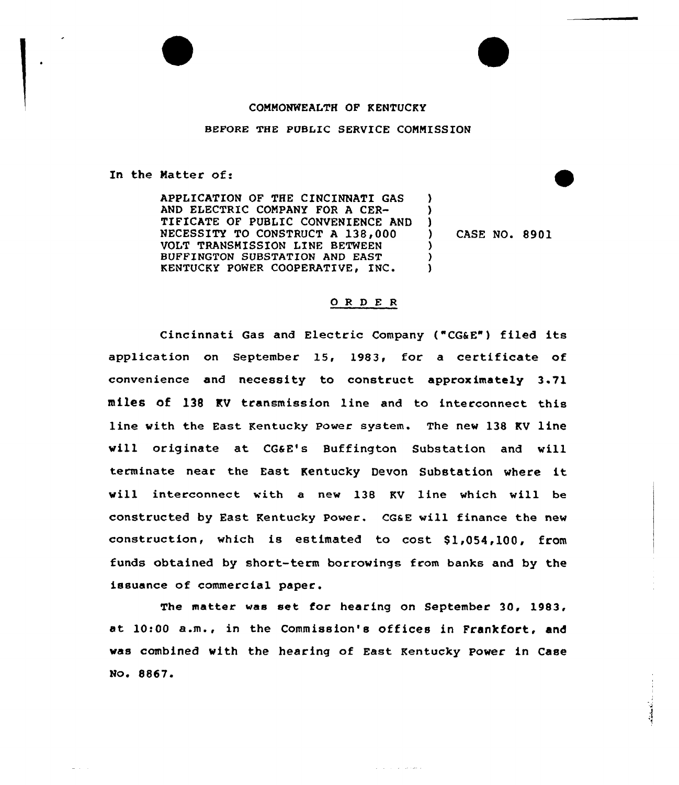## COMMONWEALTH OF KENTUCKY

## BEFORE THE PUBLIC SERVICE COMMISSION

In the Matter of:

APPLICATION OF THE CINCINNATI GAS AND ELECTRIC COMPANY FOR A CER-TIFICATE OF PUBLIC CONVENIENCE AND NECESSITY TO CONSTRUCT A 138,000 VOLT TRANSMISSION LINE BETWEEN BUFFINGTON SUBSTATION AND EAST KENTUCKY POWER COOPERATIVE, INC.

) CASE NO. 8901

) ) )

> ) ) )

## ORDER

Cincinnati Gas and Electric Company ("CG&E") filed its application on September 15, 1983, for a certificate of convenience and necessity to construct approximately 3 71 miles of 136 KV transmission line and to interconnect this line vith the East Kentucky Power system. The nev 138 KV line vill originate at CGaE's Buffington Substation and vill terminate near the East Kentucky Devon Substation where it vill interconnect with a new 138 KV line which will be constructed by East Kentucky Power. CGaE vill finance the new construction, which is estimated to cost \$1,054,100, from funds obtained by short-term borrowings from banks and by the issuance of commercial paper.

The matter vas set for hearing on September 30, 1983, at 10:00 a.m., in the Commission's offices in Frankfort, and vas combined vith the hearing of East Kentucky Power in Case No. 8867.

الأستعمال والمناول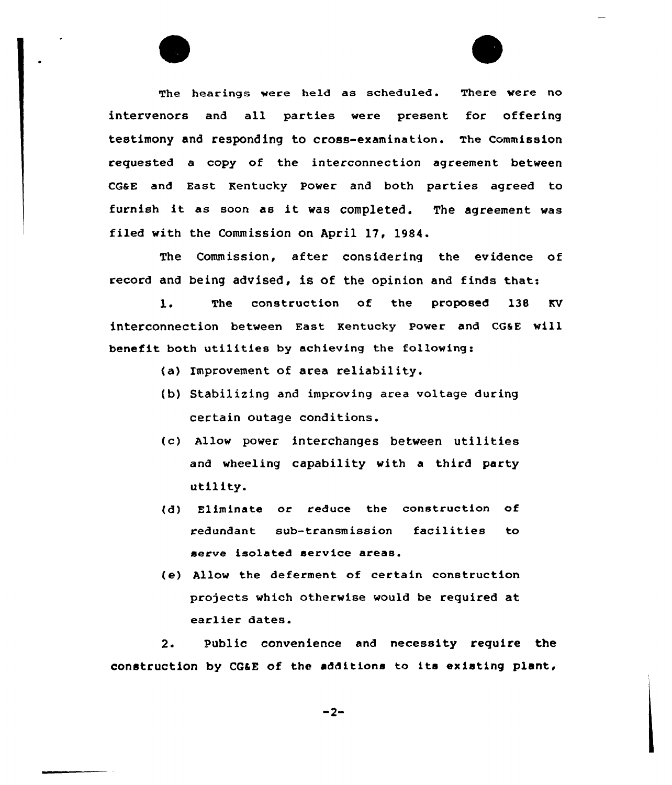The hearings were held as scheduled. There were no intervenors and all parties were present for offering testimony and responding to cross-examination. The commission requested a copy of the interconnection agreement between CQaE and East Kentucky Power and both parties agreed to furnish it as soon as it was completed. The agreement was filed with the Commission on April 17, 1984.

The Commission, after considering the evidence of record and being advised, is of the opinion and finds that:

l. The construction of the proposed l38 KV interconnection between East Kentucky Power and CG6E will benefit both utilities by achieving the following:

- (a) improvement of area reliability.
- (b) Stabilizing and improving area voltage during certain outage conditions.
- (c) Allow power interchanges between utilities and wheeling capability with a third party utility.
- (d) Eliminate or reduce the construction of redundant sub-transmission facilities to serve isolated service areas.
- (e) Allow the deferment of certain construction projects which otherwise would be required at earlier dates.

2. Public convenience and necessity require the construction by CGaE of the additions to its existing plant,

 $-2-$